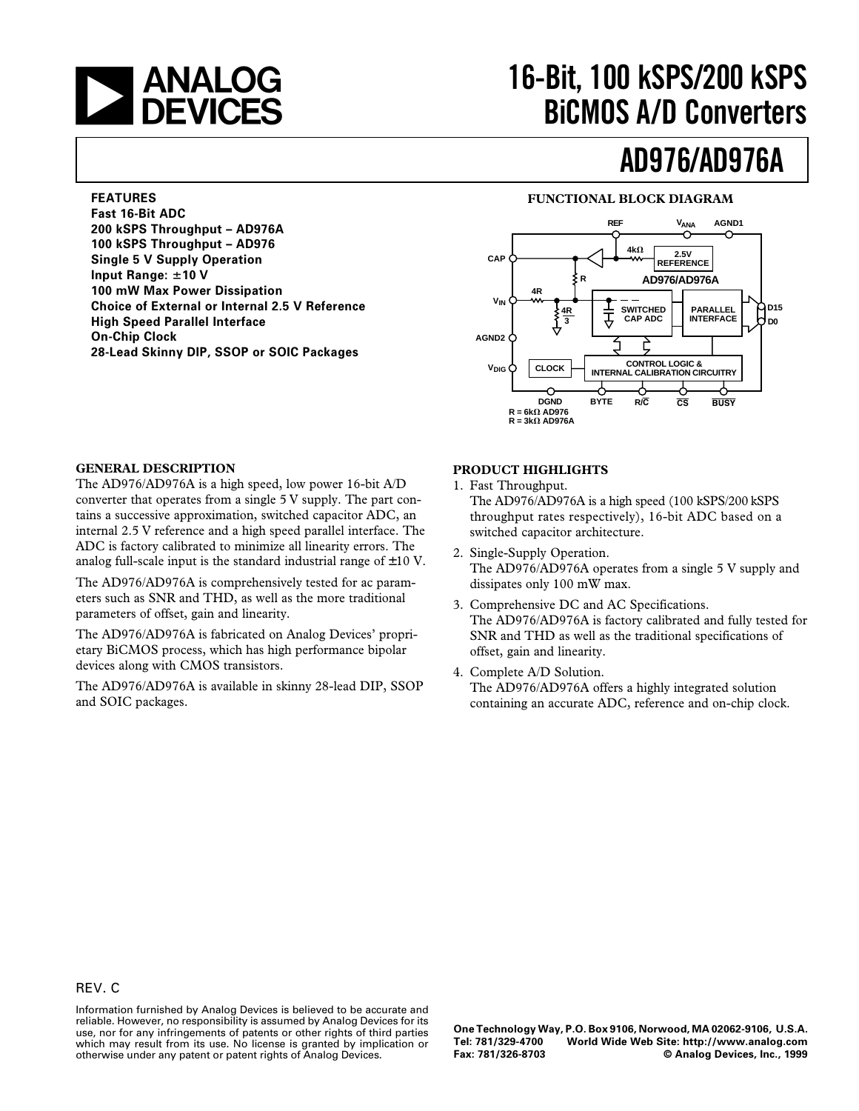

**200 kSPS Throughput – AD976A 100 kSPS Throughput – AD976 Single 5 V Supply Operation**

**100 mW Max Power Dissipation**

**High Speed Parallel Interface**

**Choice of External or Internal 2.5 V Reference**

**28-Lead Skinny DIP, SSOP or SOIC Packages**

**FEATURES Fast 16-Bit ADC**

**Input Range:**  $\pm$ **10 V** 

**On-Chip Clock**

# **16-Bit, 100 kSPS/200 kSPS BiCMOS A/D Converters**

# **AD976/AD976A**

### **FUNCTIONAL BLOCK DIAGRAM**



### **GENERAL DESCRIPTION**

The AD976/AD976A is a high speed, low power 16-bit A/D converter that operates from a single 5 V supply. The part contains a successive approximation, switched capacitor ADC, an internal 2.5 V reference and a high speed parallel interface. The ADC is factory calibrated to minimize all linearity errors. The analog full-scale input is the standard industrial range of  $\pm 10$  V.

The AD976/AD976A is comprehensively tested for ac parameters such as SNR and THD, as well as the more traditional parameters of offset, gain and linearity.

The AD976/AD976A is fabricated on Analog Devices' proprietary BiCMOS process, which has high performance bipolar devices along with CMOS transistors.

The AD976/AD976A is available in skinny 28-lead DIP, SSOP and SOIC packages.

#### **PRODUCT HIGHLIGHTS**

- 1. Fast Throughput. The AD976/AD976A is a high speed (100 kSPS/200 kSPS throughput rates respectively), 16-bit ADC based on a switched capacitor architecture.
- 2. Single-Supply Operation. The AD976/AD976A operates from a single 5 V supply and dissipates only 100 mW max.
- 3. Comprehensive DC and AC Specifications. The AD976/AD976A is factory calibrated and fully tested for SNR and THD as well as the traditional specifications of offset, gain and linearity.
- 4. Complete A/D Solution. The AD976/AD976A offers a highly integrated solution containing an accurate ADC, reference and on-chip clock.

Information furnished by Analog Devices is believed to be accurate and reliable. However, no responsibility is assumed by Analog Devices for its use, nor for any infringements of patents or other rights of third parties which may result from its use. No license is granted by implication or otherwise under any patent or patent rights of Analog Devices.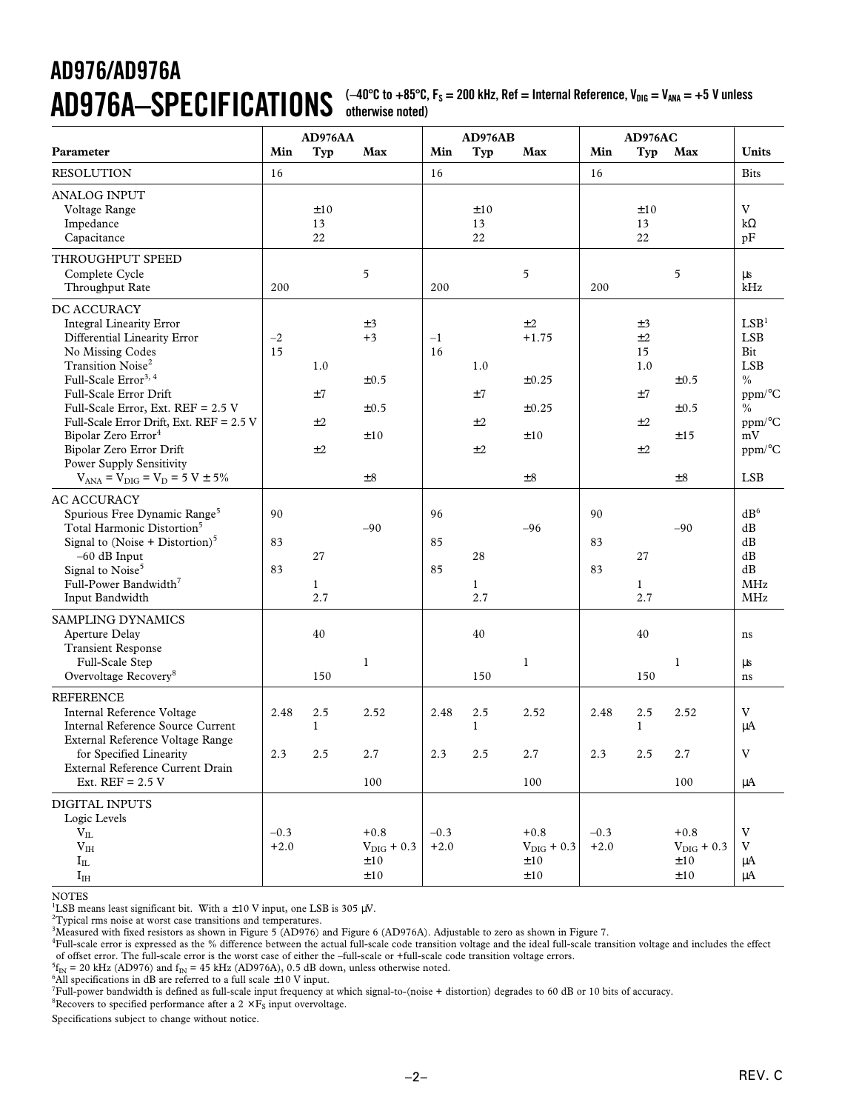$AD976A-SPEC$  **IFICATIONS** ( $-40^{\circ}$ C to  $+85^{\circ}$ C, F<sub>s</sub> = 200 kHz, Ref = Internal Reference, V<sub>DIG</sub> = V<sub>ANA</sub> = +5 V unless **otherwise noted)**

|                                                                                                                                                                                                                                                                                                                                                                                                                                  |                  | AD976AA                   |                                                    |                  | AD976AB                   |                                                        |                  | AD976AC                                      |                                                |                                                                                                                                  |
|----------------------------------------------------------------------------------------------------------------------------------------------------------------------------------------------------------------------------------------------------------------------------------------------------------------------------------------------------------------------------------------------------------------------------------|------------------|---------------------------|----------------------------------------------------|------------------|---------------------------|--------------------------------------------------------|------------------|----------------------------------------------|------------------------------------------------|----------------------------------------------------------------------------------------------------------------------------------|
| Parameter                                                                                                                                                                                                                                                                                                                                                                                                                        | Min              | Typ                       | Max                                                | Min              | Typ                       | Max                                                    | Min              | Typ                                          | Max                                            | Units                                                                                                                            |
| <b>RESOLUTION</b>                                                                                                                                                                                                                                                                                                                                                                                                                | 16               |                           |                                                    | 16               |                           |                                                        | 16               |                                              |                                                | <b>Bits</b>                                                                                                                      |
| <b>ANALOG INPUT</b><br>Voltage Range<br>Impedance<br>Capacitance                                                                                                                                                                                                                                                                                                                                                                 |                  | ±10<br>13<br>22           |                                                    |                  | ±10<br>13<br>22           |                                                        |                  | ±10<br>13<br>22                              |                                                | V<br>$k\Omega$<br>pF                                                                                                             |
| THROUGHPUT SPEED<br>Complete Cycle<br>Throughput Rate                                                                                                                                                                                                                                                                                                                                                                            | 200              |                           | 5                                                  | 200              |                           | $\mathfrak s$                                          | 200              |                                              | 5                                              | μs<br>kHz                                                                                                                        |
| DC ACCURACY<br><b>Integral Linearity Error</b><br>Differential Linearity Error<br>No Missing Codes<br>Transition Noise <sup>2</sup><br>Full-Scale Error <sup>3, 4</sup><br>Full-Scale Error Drift<br>Full-Scale Error, Ext. REF = 2.5 V<br>Full-Scale Error Drift, Ext. REF = 2.5 V<br>Bipolar Zero Error <sup>4</sup><br>Bipolar Zero Error Drift<br><b>Power Supply Sensitivity</b><br>$V_{ANA} = V_{DIG} = V_D = 5 V \pm 5\%$ | $-2$<br>15       | 1.0<br>±7<br>±2<br>±2     | ±3<br>$+3$<br>$\pm 0.5$<br>±0.5<br>±10<br>$\pm 8$  | $-1$<br>16       | 1.0<br>±7<br>±2<br>±2     | ±2<br>$+1.75$<br>±0.25<br>$\pm 0.25$<br>±10<br>$\pm 8$ |                  | ±3<br>±2<br>15<br>1.0<br>±7<br>$\pm 2$<br>±2 | $\pm 0.5$<br>$\pm 0.5$<br>±15<br>$\pm 8$       | LSB <sup>1</sup><br>LSB<br>Bit<br><b>LSB</b><br>$\frac{0}{0}$<br>ppm/°C<br>$\frac{0}{0}$<br>ppm/°C<br>mV<br>ppm/°C<br><b>LSB</b> |
| <b>AC ACCURACY</b><br>Spurious Free Dynamic Range <sup>5</sup><br>Total Harmonic Distortion <sup>5</sup><br>Signal to (Noise + Distortion) $5$<br>$-60$ dB Input<br>Signal to Noise <sup>5</sup><br>Full-Power Bandwidth <sup>7</sup><br>Input Bandwidth                                                                                                                                                                         | 90<br>83<br>83   | 27<br>$\mathbf{1}$<br>2.7 | $-90$                                              | 96<br>85<br>85   | 28<br>$\mathbf{1}$<br>2.7 | $-96$                                                  | 90<br>83<br>83   | 27<br>$\mathbf{1}$<br>2.7                    | $-90$                                          | dB <sup>6</sup><br>dB<br>dB<br>dB<br>dB<br><b>MHz</b><br><b>MHz</b>                                                              |
| SAMPLING DYNAMICS<br>Aperture Delay<br><b>Transient Response</b><br>Full-Scale Step<br>Overvoltage Recovery <sup>8</sup>                                                                                                                                                                                                                                                                                                         |                  | 40<br>150                 | $\mathbf{1}$                                       |                  | 40<br>150                 | $\mathbf{1}$                                           |                  | 40<br>150                                    | $\mathbf{1}$                                   | ns<br>μs<br>ns                                                                                                                   |
| <b>REFERENCE</b><br>Internal Reference Voltage<br>Internal Reference Source Current<br>External Reference Voltage Range                                                                                                                                                                                                                                                                                                          | 2.48             | 2.5<br>$\mathbf{1}$       | 2.52                                               | 2.48             | 2.5<br>$\mathbf{1}$       | 2.52                                                   | 2.48             | 2.5<br>1                                     | 2.52                                           | V<br>μA                                                                                                                          |
| for Specified Linearity<br>External Reference Current Drain<br>Ext. $REF = 2.5 V$                                                                                                                                                                                                                                                                                                                                                | 2.3              | 2.5                       | 2.7<br>100                                         | 2.3              | 2.5                       | 2.7<br>100                                             | 2.3              | 2.5                                          | 2.7<br>100                                     | V<br>μA                                                                                                                          |
| <b>DIGITAL INPUTS</b><br>Logic Levels<br>$\rm V_{II}$<br>V <sub>IH</sub><br>$I_{IL}$<br>$I_{IH}$                                                                                                                                                                                                                                                                                                                                 | $-0.3$<br>$+2.0$ |                           | $+0.8$<br>$V_{\text{DIG}} + 0.3$<br>±10<br>$\pm10$ | $-0.3$<br>$+2.0$ |                           | $+0.8$<br>$V_{\text{DIG}} + 0.3$<br>±10<br>$\pm10$     | $-0.3$<br>$+2.0$ |                                              | $+0.8$<br>$V_{\text{DIG}} + 0.3$<br>±10<br>±10 | V<br>V<br>μA<br>μA                                                                                                               |

NOTES

<sup>1</sup>LSB means least significant bit. With a  $\pm 10$  V input, one LSB is 305  $\mu$ V.

 $\mathrm{^{2}T}$ ypical rms noise at worst case transitions and temperatures.

3 Measured with fixed resistors as shown in Figure 5 (AD976) and Figure 6 (AD976A). Adjustable to zero as shown in Figure 7.

4 Full-scale error is expressed as the % difference between the actual full-scale code transition voltage and the ideal full-scale transition voltage and includes the effect of offset error. The full-scale error is the worst case of either the –full-scale or +full-scale code transition voltage errors.

 ${}^{5}f_{IN}$  = 20 kHz (AD976) and  $f_{IN}$  = 45 kHz (AD976A), 0.5 dB down, unless otherwise noted.

<sup>2</sup>f<sub>IN</sub> = 20 kHz (AD976) and f<sub>IN</sub> = 45 kHz (AD976A), 0.5 dB down, unless otherwise noted.<br><sup>6</sup>All specifications in dB are referred to a full scale ±10 V input.<br><sup>7</sup>Full-power bandwidth is defined as full-scale input frequ

 ${}^{8}$ Recovers to specified performance after a 2  $\times$  F<sub>S</sub> input overvoltage.

Specifications subject to change without notice.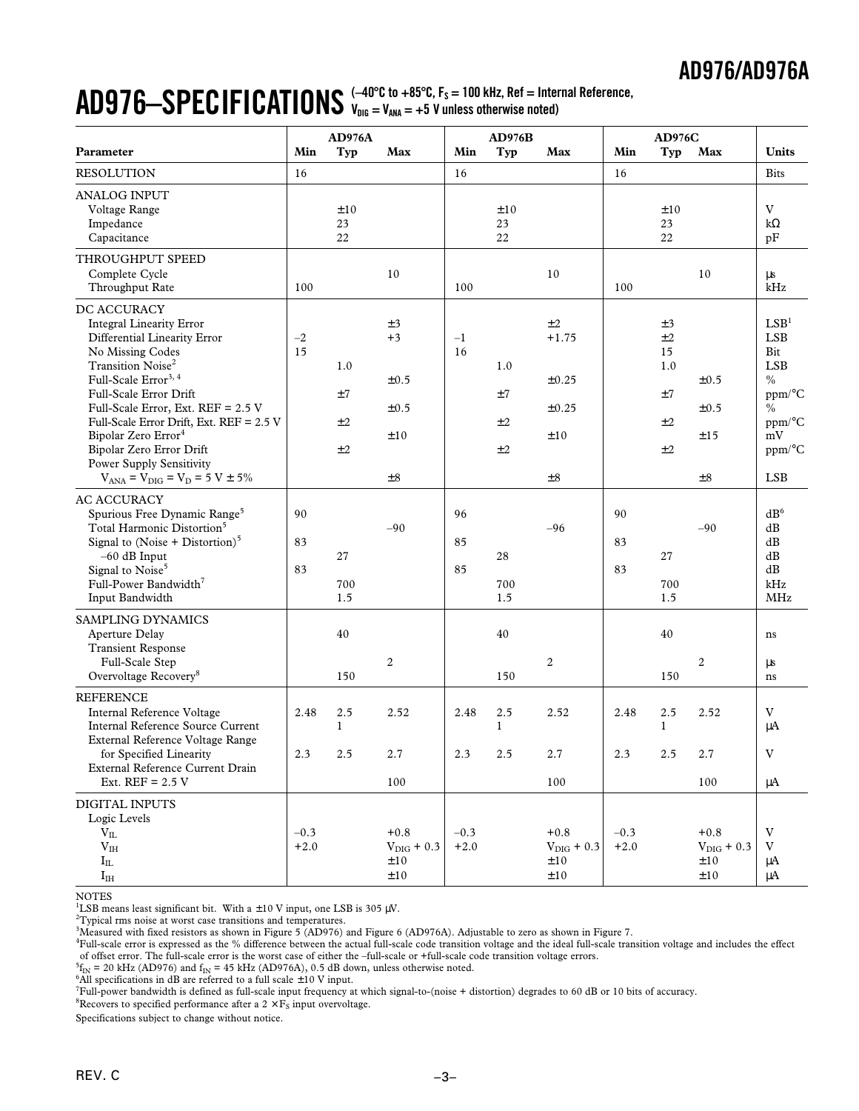### $\bf{AD976-}$  $\bf{SPECIFICATIONS}$   $\leftarrow$   $\bf{A0}^{\circ}$  $\bf{C}$  to +85 $^{\circ}$ C,  $\bf{F}_s$  = 100 kHz, Ref = Internal Reference, **VDIG = VANA = +5 V unless otherwise noted)**

|                                                                                                                                                                                                                                                                                                                                                                                                                                  |                  | AD976A                |                                                    |                  | AD976B                |                                                     |                  | <b>AD976C</b>                                |                                                          |                                                                                                                                         |
|----------------------------------------------------------------------------------------------------------------------------------------------------------------------------------------------------------------------------------------------------------------------------------------------------------------------------------------------------------------------------------------------------------------------------------|------------------|-----------------------|----------------------------------------------------|------------------|-----------------------|-----------------------------------------------------|------------------|----------------------------------------------|----------------------------------------------------------|-----------------------------------------------------------------------------------------------------------------------------------------|
| Parameter                                                                                                                                                                                                                                                                                                                                                                                                                        | Min              | Typ                   | Max                                                | Min              | Typ                   | Max                                                 | Min              | <b>Typ</b>                                   | Max                                                      | <b>Units</b>                                                                                                                            |
| <b>RESOLUTION</b>                                                                                                                                                                                                                                                                                                                                                                                                                | 16               |                       |                                                    | 16               |                       |                                                     | 16               |                                              |                                                          | <b>Bits</b>                                                                                                                             |
| <b>ANALOG INPUT</b><br>Voltage Range<br>Impedance<br>Capacitance                                                                                                                                                                                                                                                                                                                                                                 |                  | ±10<br>23<br>22       |                                                    |                  | ±10<br>23<br>22       |                                                     |                  | ±10<br>23<br>22                              |                                                          | V<br>$k\Omega$<br>pF                                                                                                                    |
| THROUGHPUT SPEED<br>Complete Cycle<br>Throughput Rate                                                                                                                                                                                                                                                                                                                                                                            | 100              |                       | 10                                                 | 100              |                       | 10                                                  | 100              |                                              | 10                                                       | μs<br>kHz                                                                                                                               |
| DC ACCURACY<br><b>Integral Linearity Error</b><br>Differential Linearity Error<br>No Missing Codes<br>Transition Noise <sup>2</sup><br>Full-Scale Error <sup>3, 4</sup><br>Full-Scale Error Drift<br>Full-Scale Error, Ext. REF = 2.5 V<br>Full-Scale Error Drift, Ext. REF = 2.5 V<br>Bipolar Zero Error <sup>4</sup><br>Bipolar Zero Error Drift<br><b>Power Supply Sensitivity</b><br>$V_{ANA} = V_{DIG} = V_D = 5 V \pm 5\%$ | $-2$<br>15       | 1.0<br>±7<br>±2<br>±2 | ±3<br>$+3$<br>$\pm 0.5$<br>±0.5<br>±10<br>$\pm\,8$ | $-1$<br>16       | 1.0<br>±7<br>±2<br>±2 | ±2<br>$+1.75$<br>±0.25<br>±0.25<br>±10<br>$\pm 8$   |                  | ±3<br>±2<br>15<br>1.0<br>±7<br>$\pm 2$<br>±2 | $\pm 0.5$<br>±0.5<br>±15<br>$\pm\,8$                     | LSB <sup>1</sup><br><b>LSB</b><br>Bit<br><b>LSB</b><br>$\frac{0}{0}$<br>ppm/°C<br>$\frac{0}{0}$<br>ppm/°C<br>mV<br>ppm/°C<br><b>LSB</b> |
| <b>AC ACCURACY</b><br>Spurious Free Dynamic Range <sup>5</sup><br>Total Harmonic Distortion <sup>5</sup><br>Signal to (Noise + Distortion) $5$<br>$-60$ dB Input<br>Signal to Noise <sup>5</sup><br>Full-Power Bandwidth <sup>7</sup><br>Input Bandwidth                                                                                                                                                                         | 90<br>83<br>83   | 27<br>700<br>1.5      | $-90$                                              | 96<br>85<br>85   | 28<br>700<br>1.5      | $-96$                                               | 90<br>83<br>83   | 27<br>700<br>1.5                             | $-90$                                                    | dB <sup>6</sup><br>dB<br>dB<br>dB<br>dB<br>kHz<br><b>MHz</b>                                                                            |
| SAMPLING DYNAMICS<br>Aperture Delay<br><b>Transient Response</b><br>Full-Scale Step<br>Overvoltage Recovery <sup>8</sup>                                                                                                                                                                                                                                                                                                         |                  | 40<br>150             | 2                                                  |                  | 40<br>150             | $\overline{c}$                                      |                  | 40<br>150                                    | 2                                                        | ns<br>μs<br>ns                                                                                                                          |
| <b>REFERENCE</b><br>Internal Reference Voltage<br><b>Internal Reference Source Current</b><br>External Reference Voltage Range                                                                                                                                                                                                                                                                                                   | 2.48             | 2.5<br>$\mathbf{1}$   | 2.52                                               | 2.48             | 2.5<br>$\mathbf{1}$   | 2.52                                                | 2.48             | 2.5<br>$\mathbf{1}$                          | 2.52                                                     | V<br>$\mu A$                                                                                                                            |
| for Specified Linearity<br>External Reference Current Drain<br>Ext. $REF = 2.5 V$                                                                                                                                                                                                                                                                                                                                                | 2.3              | 2.5                   | 2.7<br>100                                         | 2.3              | 2.5                   | $2.7\,$<br>100                                      | 2.3              | $2.5\,$                                      | 2.7<br>100                                               | V<br>μA                                                                                                                                 |
| DIGITAL INPUTS<br>Logic Levels<br>$\rm V_{II}$<br>V <sub>IH</sub><br>$I_{IL}$<br>$I_{IH}$                                                                                                                                                                                                                                                                                                                                        | $-0.3$<br>$+2.0$ |                       | $+0.8$<br>$V_{\text{DIG}} + 0.3$<br>±10<br>±10     | $-0.3$<br>$+2.0$ |                       | $+0.8$<br>$V_{\text{DIG}} + 0.3$<br>$\pm 10$<br>±10 | $-0.3$<br>$+2.0$ |                                              | $+0.8$<br>$V_{\text{DIG}} + 0.3$<br>$\pm 10$<br>$\pm 10$ | V<br>$\rm{V}$<br>μA<br>μA                                                                                                               |

**NOTES** 

<sup>1</sup>LSB means least significant bit. With a  $\pm 10$  V input, one LSB is 305  $\mu$ V.

 $\mathrm{^{2}T}$ ypical rms noise at worst case transitions and temperatures.

3 Measured with fixed resistors as shown in Figure 5 (AD976) and Figure 6 (AD976A). Adjustable to zero as shown in Figure 7.

4 Full-scale error is expressed as the % difference between the actual full-scale code transition voltage and the ideal full-scale transition voltage and includes the effect of offset error. The full-scale error is the worst case of either the –full-scale or +full-scale code transition voltage errors.

 ${}^{5}F_{IN}$  = 20 kHz (AD976) and  $f_{IN}$  = 45 kHz (AD976A), 0.5 dB down, unless otherwise noted.<br><sup>6</sup>All specifications in dB are referred to a full scale +10 V input

 $^6$  All specifications in dB are referred to a full scale  $\pm 10$  V input.

7 Full-power bandwidth is defined as full-scale input frequency at which signal-to-(noise + distortion) degrades to 60 dB or 10 bits of accuracy.

 $^8$ Recovers to specified performance after a 2  $\times$   $\mathrm{F}_\mathrm{S}$  input overvoltage.

Specifications subject to change without notice.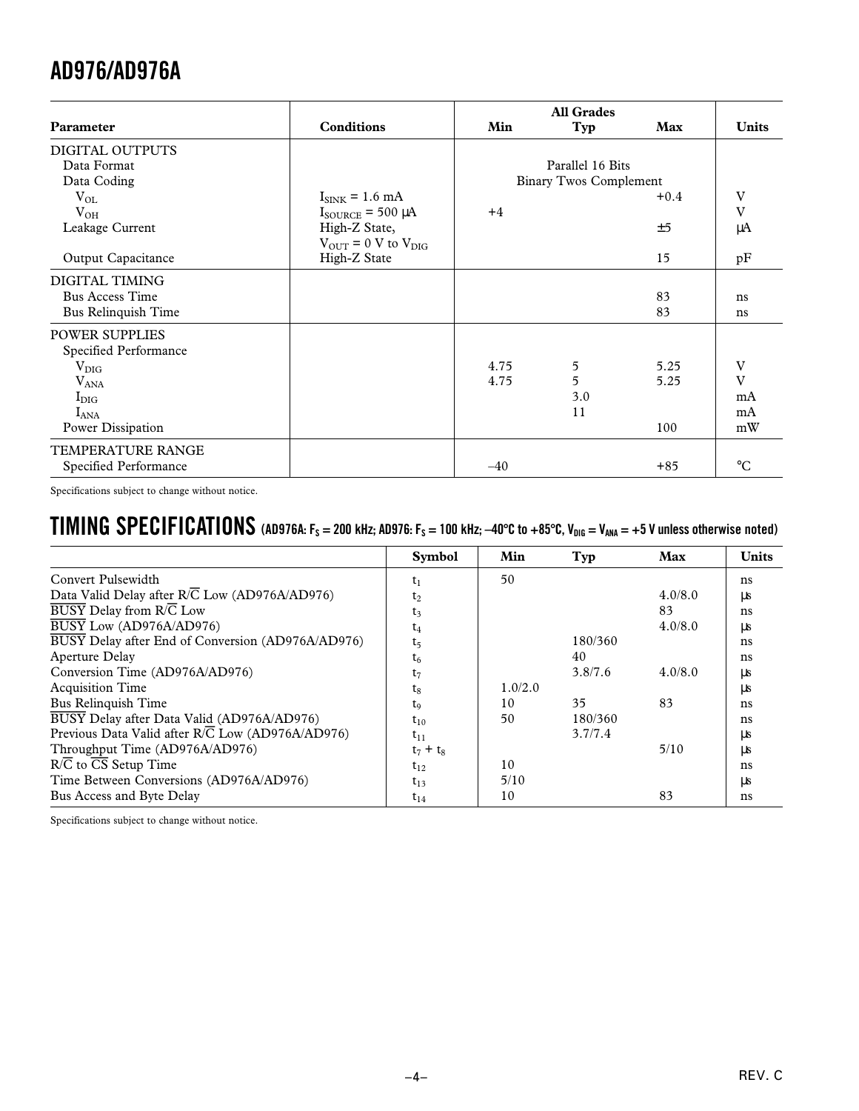| Parameter              | <b>Conditions</b>                          | Min   | Typ                           | Max    | <b>Units</b>    |
|------------------------|--------------------------------------------|-------|-------------------------------|--------|-----------------|
| DIGITAL OUTPUTS        |                                            |       |                               |        |                 |
| Data Format            |                                            |       | Parallel 16 Bits              |        |                 |
| Data Coding            |                                            |       | <b>Binary Twos Complement</b> |        |                 |
| $V_{OL}$               | $I_{\text{SINK}} = 1.6 \text{ mA}$         |       |                               | $+0.4$ | V               |
| $V_{OH}$               | $I_{\text{SOURCE}}$ = 500 µA               | $+4$  |                               |        | V               |
| Leakage Current        | High-Z State,                              |       |                               | ±5     | μA              |
|                        | $V_{\text{OUT}} = 0$ V to $V_{\text{DIC}}$ |       |                               |        |                 |
| Output Capacitance     | High-Z State                               |       |                               | 15     | pF              |
| DIGITAL TIMING         |                                            |       |                               |        |                 |
| <b>Bus Access Time</b> |                                            |       |                               | 83     | ns              |
| Bus Relinquish Time    |                                            |       |                               | 83     | ns              |
| <b>POWER SUPPLIES</b>  |                                            |       |                               |        |                 |
| Specified Performance  |                                            |       |                               |        |                 |
| $\rm V_{\rm DIG}$      |                                            | 4.75  | 5                             | 5.25   | V               |
| $V_{ANA}$              |                                            | 4.75  | 5                             | 5.25   | $\mathbf{V}$    |
| $I_{\rm DIG}$          |                                            |       | 3.0                           |        | mA              |
| $I_{ANA}$              |                                            |       | 11                            |        | mA              |
| Power Dissipation      |                                            |       |                               | 100    | mW              |
| TEMPERATURE RANGE      |                                            |       |                               |        |                 |
| Specified Performance  |                                            | $-40$ |                               | $+85$  | $\rm ^{\circ}C$ |

Specifications subject to change without notice.

# **TIMING SPECIFICATIONS** (AD976A:  $F_s = 200$  kHz; AD976:  $F_s = 100$  kHz;  $-40^{\circ}$ C to  $+85^{\circ}$ C,  $V_{DIG} = V_{ANA} = +5$  V unless otherwise noted)

|                                                               | <b>Symbol</b>  | Min     | Typ     | Max     | <b>Units</b> |
|---------------------------------------------------------------|----------------|---------|---------|---------|--------------|
| Convert Pulsewidth                                            | $t_1$          | 50      |         |         | ns           |
| Data Valid Delay after R/C Low (AD976A/AD976)                 | $t_2$          |         |         | 4.0/8.0 | μs           |
| $\overline{BUSY}$ Delay from $R/\overline{C}$ Low             | $t_3$          |         |         | 83      | ns           |
| BUSY Low (AD976A/AD976)                                       | $t_4$          |         |         | 4.0/8.0 | μs           |
| BUSY Delay after End of Conversion (AD976A/AD976)             | t <sub>5</sub> |         | 180/360 |         | ns           |
| Aperture Delay                                                | $t_6$          |         | 40      |         | ns           |
| Conversion Time (AD976A/AD976)                                | $t_7$          |         | 3.8/7.6 | 4.0/8.0 | LLS          |
| <b>Acquisition Time</b>                                       | $t_8$          | 1.0/2.0 |         |         | μs           |
| Bus Relinquish Time                                           | t <sub>9</sub> | 10      | 35      | 83      | ns           |
| BUSY Delay after Data Valid (AD976A/AD976)                    | $t_{10}$       | 50      | 180/360 |         | ns           |
| Previous Data Valid after $R/\overline{C}$ Low (AD976A/AD976) | $t_{11}$       |         | 3.7/7.4 |         | ЦS           |
| Throughput Time (AD976A/AD976)                                | $t_7 + t_8$    |         |         | 5/10    | LLS          |
| R/C to CS Setup Time                                          | $t_{12}$       | 10      |         |         | ns           |
| Time Between Conversions (AD976A/AD976)                       | $t_{13}$       | 5/10    |         |         | us           |
| Bus Access and Byte Delay                                     | $t_{14}$       | 10      |         | 83      | ns           |

Specifications subject to change without notice.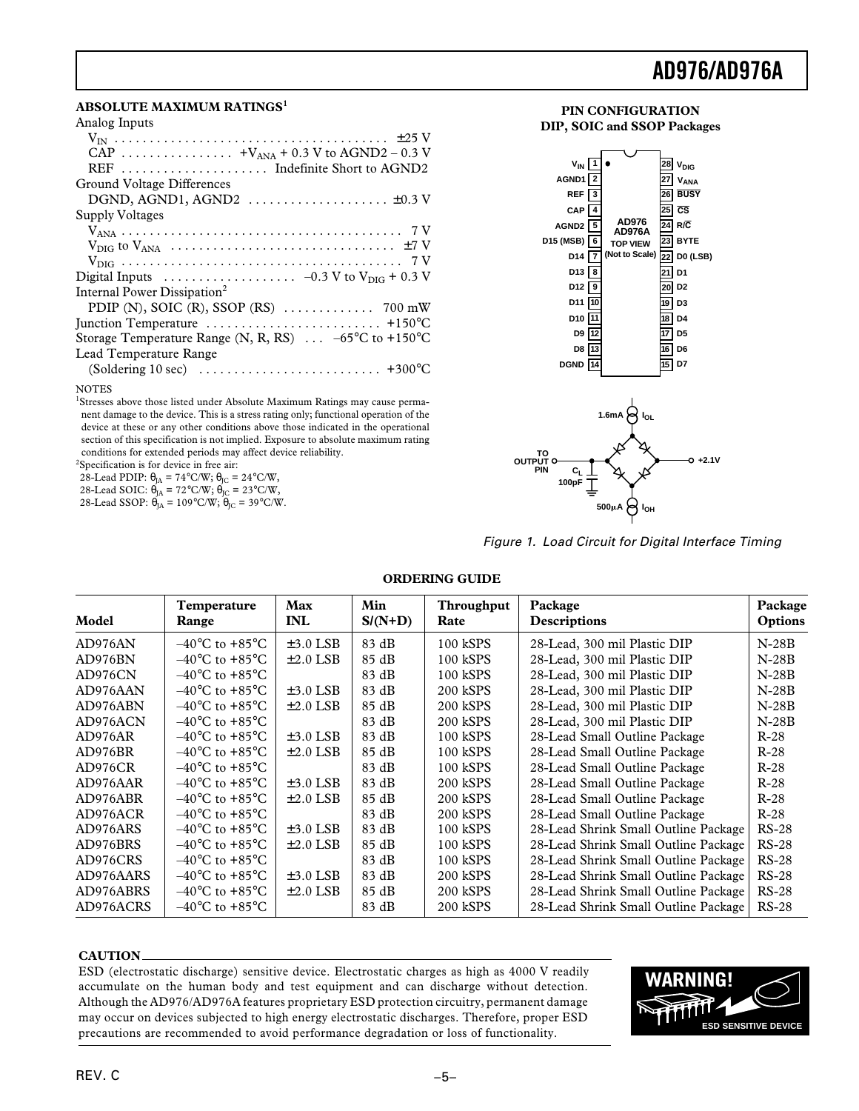### **ABSOLUTE MAXIMUM RATINGS<sup>1</sup>**

| Analog Inputs                                                                                                 |
|---------------------------------------------------------------------------------------------------------------|
|                                                                                                               |
| CAP $+V_{ANA} + 0.3$ V to AGND2 – 0.3 V                                                                       |
|                                                                                                               |
| Ground Voltage Differences                                                                                    |
| DGND, AGND1, AGND2 $\dots\dots\dots\dots\dots\dots\dots\dots\dots\dots$                                       |
| Supply Voltages                                                                                               |
|                                                                                                               |
|                                                                                                               |
|                                                                                                               |
| Digital Inputs $\ldots \ldots \ldots \ldots \ldots \ldots -0.3 \text{ V}$ to $V_{\text{DIG}} + 0.3 \text{ V}$ |
| Internal Power Dissipation <sup>2</sup>                                                                       |
|                                                                                                               |
|                                                                                                               |
| Storage Temperature Range (N, R, RS) $\ldots -65^{\circ}$ C to +150 °C                                        |
| Lead Temperature Range                                                                                        |
|                                                                                                               |
|                                                                                                               |

#### **NOTES**

<sup>1</sup>Stresses above those listed under Absolute Maximum Ratings may cause permanent damage to the device. This is a stress rating only; functional operation of the device at these or any other conditions above those indicated in the operational section of this specification is not implied. Exposure to absolute maximum rating conditions for extended periods may affect device reliability.

2 Specification is for device in free air:

28-Lead PDIP:  $\theta_{JA} = 74^{\circ}$ C/W;  $\theta_{JC} = 24^{\circ}$ C/W,

28-Lead SOIC:  $\theta_{JA} = 72^{\circ}C/W$ ;  $\theta_{JC} = 23^{\circ}C/W$ ,

| 28-Lead SSOP: $\theta_{IA} = 109^{\circ}C/W$ ; $\theta_{IC} = 39^{\circ}C/W$ . |  |  |  |  |
|--------------------------------------------------------------------------------|--|--|--|--|
|--------------------------------------------------------------------------------|--|--|--|--|



**19 D11 D3**

**17 D5 16 D6 15 D7**

**18 D4**

**PIN CONFIGURATION DIP, SOIC and SSOP Packages**



**D10 D9 D8 DGND**

Figure 1. Load Circuit for Digital Interface Timing

### **ORDERING GUIDE**

| Model     | Temperature<br>Range               | Max<br><b>INL</b> | Min<br>$S/(N+D)$ | Throughput<br>Rate | Package<br>Descriptions              | Package<br><b>Options</b> |
|-----------|------------------------------------|-------------------|------------------|--------------------|--------------------------------------|---------------------------|
| AD976AN   | $-40^{\circ}$ C to $+85^{\circ}$ C | $\pm 3.0$ LSB     | 83 dB            | 100 kSPS           | 28-Lead, 300 mil Plastic DIP         | $N-28B$                   |
| AD976BN   | $-40^{\circ}$ C to $+85^{\circ}$ C | $\pm 2.0$ LSB     | 85 dB            | 100 kSPS           | 28-Lead, 300 mil Plastic DIP         | $N-28B$                   |
| AD976CN   | $-40^{\circ}$ C to $+85^{\circ}$ C |                   | 83 dB            | 100 kSPS           | 28-Lead, 300 mil Plastic DIP         | $N-28B$                   |
| AD976AAN  | $-40^{\circ}$ C to $+85^{\circ}$ C | $\pm 3.0$ LSB     | 83 dB            | 200 kSPS           | 28-Lead, 300 mil Plastic DIP         | $N-28B$                   |
| AD976ABN  | $-40^{\circ}$ C to $+85^{\circ}$ C | $\pm 2.0$ LSB     | 85 dB            | 200 kSPS           | 28-Lead, 300 mil Plastic DIP         | $N-28B$                   |
| AD976ACN  | $-40^{\circ}$ C to $+85^{\circ}$ C |                   | 83 dB            | 200 kSPS           | 28-Lead, 300 mil Plastic DIP         | $N-28B$                   |
| AD976AR   | $-40^{\circ}$ C to $+85^{\circ}$ C | $\pm 3.0$ LSB     | 83 dB            | 100 kSPS           | 28-Lead Small Outline Package        | $R-28$                    |
| AD976BR   | $-40^{\circ}$ C to $+85^{\circ}$ C | $\pm 2.0$ LSB     | 85 dB            | 100 kSPS           | 28-Lead Small Outline Package        | $R-28$                    |
| AD976CR   | $-40^{\circ}$ C to $+85^{\circ}$ C |                   | 83 dB            | 100 kSPS           | 28-Lead Small Outline Package        | $R-28$                    |
| AD976AAR  | $-40^{\circ}$ C to $+85^{\circ}$ C | $\pm 3.0$ LSB     | 83 dB            | 200 kSPS           | 28-Lead Small Outline Package        | $R-28$                    |
| AD976ABR  | $-40^{\circ}$ C to $+85^{\circ}$ C | $\pm 2.0$ LSB     | 85 dB            | 200 kSPS           | 28-Lead Small Outline Package        | $R-28$                    |
| AD976ACR  | $-40^{\circ}$ C to $+85^{\circ}$ C |                   | 83 dB            | 200 kSPS           | 28-Lead Small Outline Package        | $R-28$                    |
| AD976ARS  | $-40^{\circ}$ C to $+85^{\circ}$ C | $\pm 3.0$ LSB     | 83 dB            | 100 kSPS           | 28-Lead Shrink Small Outline Package | $RS-28$                   |
| AD976BRS  | $-40^{\circ}$ C to $+85^{\circ}$ C | $\pm 2.0$ LSB     | 85 dB            | 100 kSPS           | 28-Lead Shrink Small Outline Package | $RS-28$                   |
| AD976CRS  | $-40^{\circ}$ C to $+85^{\circ}$ C |                   | 83 dB            | 100 kSPS           | 28-Lead Shrink Small Outline Package | $RS-28$                   |
| AD976AARS | $-40^{\circ}$ C to $+85^{\circ}$ C | $\pm 3.0$ LSB     | 83 dB            | 200 kSPS           | 28-Lead Shrink Small Outline Package | $RS-28$                   |
| AD976ABRS | $-40^{\circ}$ C to $+85^{\circ}$ C | $\pm 2.0$ LSB     | 85 dB            | 200 kSPS           | 28-Lead Shrink Small Outline Package | $RS-28$                   |
| AD976ACRS | $-40^{\circ}$ C to $+85^{\circ}$ C |                   | 83 dB            | 200 kSPS           | 28-Lead Shrink Small Outline Package | $RS-28$                   |

### **CAUTION**

ESD (electrostatic discharge) sensitive device. Electrostatic charges as high as 4000 V readily accumulate on the human body and test equipment and can discharge without detection. Although the AD976/AD976A features proprietary ESD protection circuitry, permanent damage may occur on devices subjected to high energy electrostatic discharges. Therefore, proper ESD precautions are recommended to avoid performance degradation or loss of functionality.

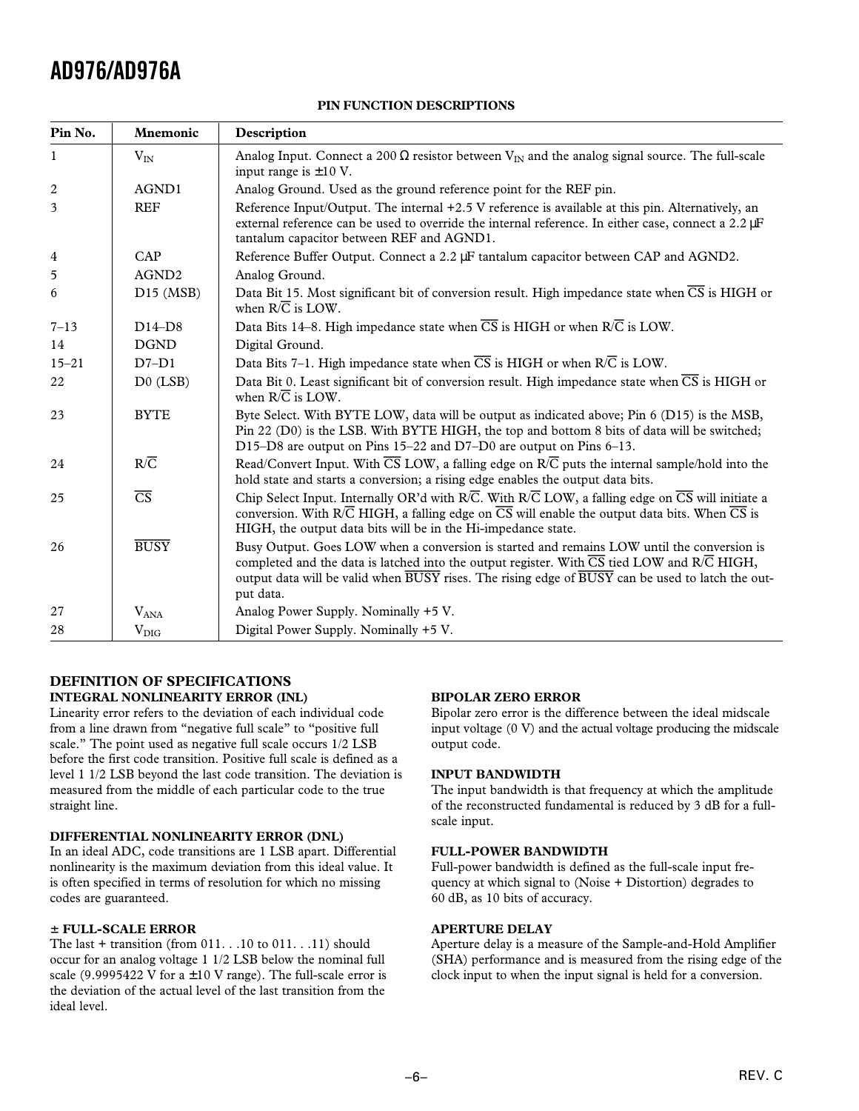| Pin No.        | Mnemonic               | Description                                                                                                                                                                                                                                                                                                                                             |
|----------------|------------------------|---------------------------------------------------------------------------------------------------------------------------------------------------------------------------------------------------------------------------------------------------------------------------------------------------------------------------------------------------------|
| $\mathbf{1}$   | $V_{IN}$               | Analog Input. Connect a 200 $\Omega$ resistor between $V_{IN}$ and the analog signal source. The full-scale<br>input range is $\pm 10$ V.                                                                                                                                                                                                               |
| $\overline{2}$ | AGND1                  | Analog Ground. Used as the ground reference point for the REF pin.                                                                                                                                                                                                                                                                                      |
| 3              | <b>REF</b>             | Reference Input/Output. The internal +2.5 V reference is available at this pin. Alternatively, an<br>external reference can be used to override the internal reference. In either case, connect a 2.2 µF<br>tantalum capacitor between REF and AGND1.                                                                                                   |
| $\overline{4}$ | CAP                    | Reference Buffer Output. Connect a 2.2 µF tantalum capacitor between CAP and AGND2.                                                                                                                                                                                                                                                                     |
| 5              | AGND <sub>2</sub>      | Analog Ground.                                                                                                                                                                                                                                                                                                                                          |
| 6              | $D15$ (MSB)            | Data Bit 15. Most significant bit of conversion result. High impedance state when $\overline{CS}$ is HIGH or<br>when $R/\overline{C}$ is LOW.                                                                                                                                                                                                           |
| $7 - 13$       | $D14-D8$               | Data Bits 14–8. High impedance state when $\overline{CS}$ is HIGH or when R/ $\overline{C}$ is LOW.                                                                                                                                                                                                                                                     |
| 14             | <b>DGND</b>            | Digital Ground.                                                                                                                                                                                                                                                                                                                                         |
| $15 - 21$      | $D7-D1$                | Data Bits 7-1. High impedance state when $\overline{CS}$ is HIGH or when $R/\overline{C}$ is LOW.                                                                                                                                                                                                                                                       |
| 22             | $D0$ (LSB)             | Data Bit 0. Least significant bit of conversion result. High impedance state when CS is HIGH or<br>when $R/\overline{C}$ is LOW.                                                                                                                                                                                                                        |
| 23             | <b>BYTE</b>            | Byte Select. With BYTE LOW, data will be output as indicated above; Pin 6 (D15) is the MSB,<br>Pin 22 (D0) is the LSB. With BYTE HIGH, the top and bottom 8 bits of data will be switched;<br>D15–D8 are output on Pins 15–22 and D7–D0 are output on Pins 6–13.                                                                                        |
| 24             | $R/\overline{C}$       | Read/Convert Input. With $\overline{\text{CS}}$ LOW, a falling edge on R/ $\overline{\text{C}}$ puts the internal sample/hold into the<br>hold state and starts a conversion; a rising edge enables the output data bits.                                                                                                                               |
| 25             | $\overline{\text{CS}}$ | Chip Select Input. Internally OR'd with R/C. With R/C LOW, a falling edge on $\overline{CS}$ will initiate a<br>conversion. With $R\overline{C}$ HIGH, a falling edge on $\overline{CS}$ will enable the output data bits. When $\overline{CS}$ is<br>HIGH, the output data bits will be in the Hi-impedance state.                                     |
| 26             | <b>BUSY</b>            | Busy Output. Goes LOW when a conversion is started and remains LOW until the conversion is<br>completed and the data is latched into the output register. With $\overline{\text{CS}}$ tied LOW and R/C HIGH,<br>output data will be valid when $\overline{BUSY}$ rises. The rising edge of $\overline{BUSY}$ can be used to latch the out-<br>put data. |
| 27             | $V_{ANA}$              | Analog Power Supply. Nominally +5 V.                                                                                                                                                                                                                                                                                                                    |
| 28             | $V_{\rm DIG}$          | Digital Power Supply. Nominally +5 V.                                                                                                                                                                                                                                                                                                                   |

### **PIN FUNCTION DESCRIPTIONS**

### **DEFINITION OF SPECIFICATIONS INTEGRAL NONLINEARITY ERROR (INL)**

Linearity error refers to the deviation of each individual code from a line drawn from "negative full scale" to "positive full scale." The point used as negative full scale occurs 1/2 LSB before the first code transition. Positive full scale is defined as a level 1 1/2 LSB beyond the last code transition. The deviation is measured from the middle of each particular code to the true straight line.

### **DIFFERENTIAL NONLINEARITY ERROR (DNL)**

In an ideal ADC, code transitions are 1 LSB apart. Differential nonlinearity is the maximum deviation from this ideal value. It is often specified in terms of resolution for which no missing codes are guaranteed.

### 6 **FULL-SCALE ERROR**

The last  $+$  transition (from 011. . .10 to 011. . .11) should occur for an analog voltage 1 1/2 LSB below the nominal full scale (9.9995422 V for  $a \pm 10$  V range). The full-scale error is the deviation of the actual level of the last transition from the ideal level.

### **BIPOLAR ZERO ERROR**

Bipolar zero error is the difference between the ideal midscale input voltage (0 V) and the actual voltage producing the midscale output code.

### **INPUT BANDWIDTH**

The input bandwidth is that frequency at which the amplitude of the reconstructed fundamental is reduced by 3 dB for a fullscale input.

### **FULL-POWER BANDWIDTH**

Full-power bandwidth is defined as the full-scale input frequency at which signal to (Noise + Distortion) degrades to 60 dB, as 10 bits of accuracy.

### **APERTURE DELAY**

Aperture delay is a measure of the Sample-and-Hold Amplifier (SHA) performance and is measured from the rising edge of the clock input to when the input signal is held for a conversion.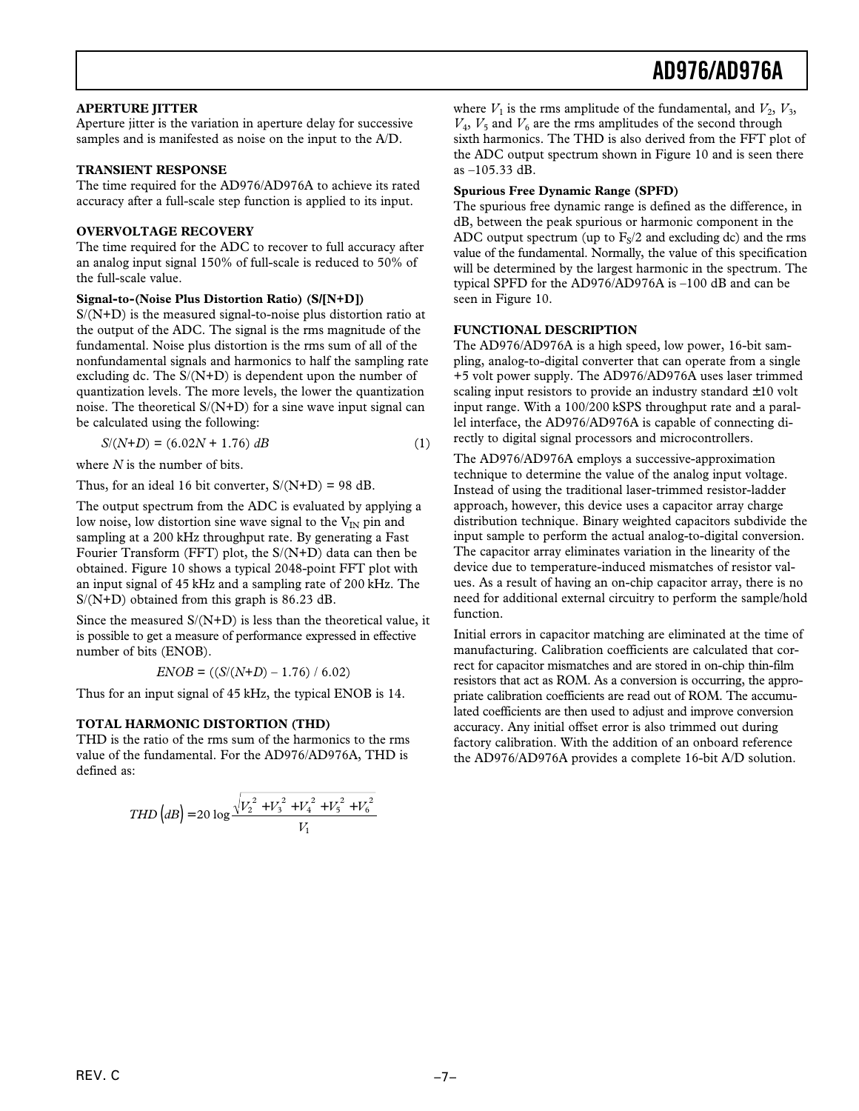### **APERTURE JITTER**

Aperture jitter is the variation in aperture delay for successive samples and is manifested as noise on the input to the A/D.

### **TRANSIENT RESPONSE**

The time required for the AD976/AD976A to achieve its rated accuracy after a full-scale step function is applied to its input.

### **OVERVOLTAGE RECOVERY**

The time required for the ADC to recover to full accuracy after an analog input signal 150% of full-scale is reduced to 50% of the full-scale value.

### **Signal-to-(Noise Plus Distortion Ratio) (S/[N+D])**

S/(N+D) is the measured signal-to-noise plus distortion ratio at the output of the ADC. The signal is the rms magnitude of the fundamental. Noise plus distortion is the rms sum of all of the nonfundamental signals and harmonics to half the sampling rate excluding dc. The S/(N+D) is dependent upon the number of quantization levels. The more levels, the lower the quantization noise. The theoretical  $S/(N+D)$  for a sine wave input signal can be calculated using the following:

$$
S/(N+D) = (6.02N + 1.76) dB
$$
 (1)

where *N* is the number of bits.

Thus, for an ideal 16 bit converter,  $S/(N+D) = 98$  dB.

The output spectrum from the ADC is evaluated by applying a low noise, low distortion sine wave signal to the  $V_{IN}$  pin and sampling at a 200 kHz throughput rate. By generating a Fast Fourier Transform (FFT) plot, the S/(N+D) data can then be obtained. Figure 10 shows a typical 2048-point FFT plot with an input signal of 45 kHz and a sampling rate of 200 kHz. The S/(N+D) obtained from this graph is 86.23 dB.

Since the measured  $S/(N+D)$  is less than the theoretical value, it is possible to get a measure of performance expressed in effective number of bits (ENOB).

$$
ENOB = ((S/(N+D) - 1.76) / 6.02)
$$

Thus for an input signal of 45 kHz, the typical ENOB is 14.

### **TOTAL HARMONIC DISTORTION (THD)**

THD is the ratio of the rms sum of the harmonics to the rms value of the fundamental. For the AD976/AD976A, THD is defined as:

$$
THD\left(dB\right) = 20 \log \frac{\sqrt{V_2^2 + V_3^2 + V_4^2 + V_5^2 + V_6^2}}{V_1}
$$

where  $V_1$  is the rms amplitude of the fundamental, and  $V_2$ ,  $V_3$ ,  $V_4$ ,  $V_5$  and  $V_6$  are the rms amplitudes of the second through sixth harmonics. The THD is also derived from the FFT plot of the ADC output spectrum shown in Figure 10 and is seen there as –105.33 dB.

### **Spurious Free Dynamic Range (SPFD)**

The spurious free dynamic range is defined as the difference, in dB, between the peak spurious or harmonic component in the ADC output spectrum (up to  $F_S/2$  and excluding dc) and the rms value of the fundamental. Normally, the value of this specification will be determined by the largest harmonic in the spectrum. The typical SPFD for the AD976/AD976A is –100 dB and can be seen in Figure 10.

### **FUNCTIONAL DESCRIPTION**

The AD976/AD976A is a high speed, low power, 16-bit sampling, analog-to-digital converter that can operate from a single +5 volt power supply. The AD976/AD976A uses laser trimmed scaling input resistors to provide an industry standard  $\pm 10$  volt input range. With a 100/200 kSPS throughput rate and a parallel interface, the AD976/AD976A is capable of connecting directly to digital signal processors and microcontrollers.

The AD976/AD976A employs a successive-approximation technique to determine the value of the analog input voltage. Instead of using the traditional laser-trimmed resistor-ladder approach, however, this device uses a capacitor array charge distribution technique. Binary weighted capacitors subdivide the input sample to perform the actual analog-to-digital conversion. The capacitor array eliminates variation in the linearity of the device due to temperature-induced mismatches of resistor values. As a result of having an on-chip capacitor array, there is no need for additional external circuitry to perform the sample/hold function.

Initial errors in capacitor matching are eliminated at the time of manufacturing. Calibration coefficients are calculated that correct for capacitor mismatches and are stored in on-chip thin-film resistors that act as ROM. As a conversion is occurring, the appropriate calibration coefficients are read out of ROM. The accumulated coefficients are then used to adjust and improve conversion accuracy. Any initial offset error is also trimmed out during factory calibration. With the addition of an onboard reference the AD976/AD976A provides a complete 16-bit A/D solution.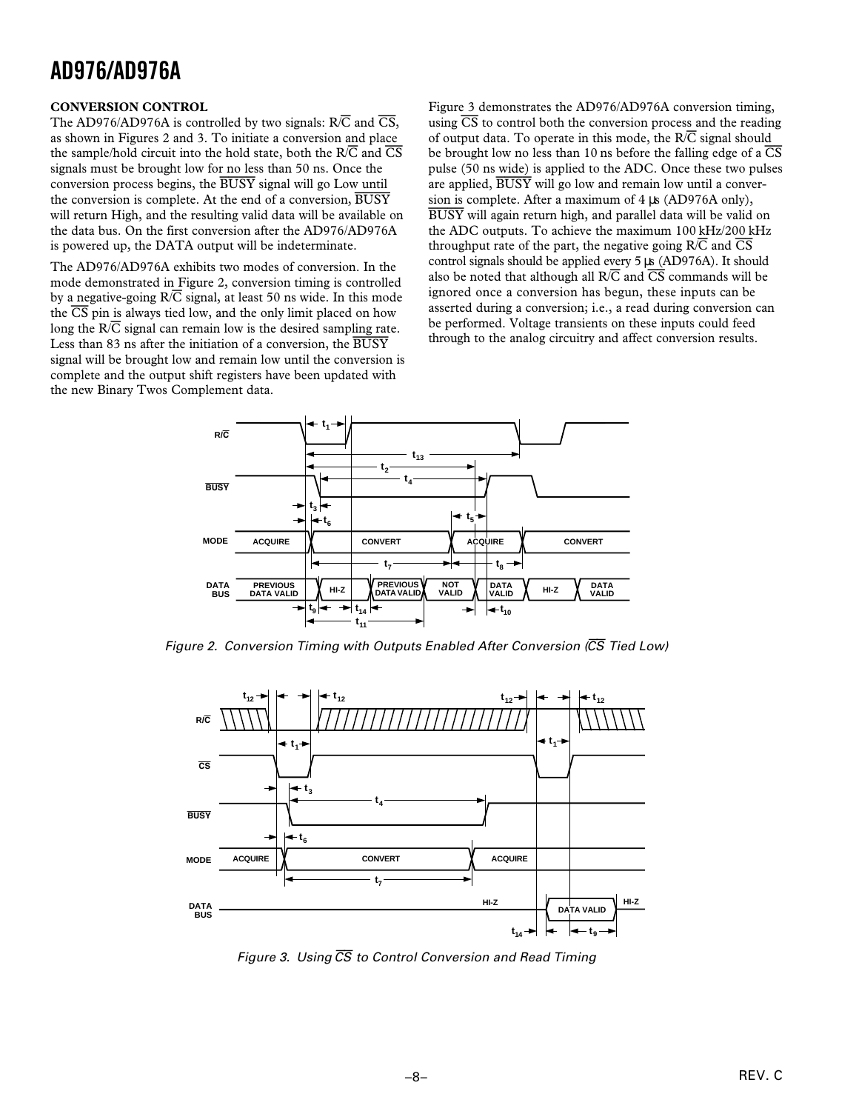### **CONVERSION CONTROL**

The AD976/AD976A is controlled by two signals: R/*C* and *CS*, as shown in Figures 2 and 3. To initiate a conversion and place the sample/hold circuit into the hold state, both the R/*C* and *CS* signals must be brought low for no less than 50 ns. Once the conversion process begins, the *BUSY* signal will go Low until the conversion is complete. At the end of a conversion, *BUSY* will return High, and the resulting valid data will be available on the data bus. On the first conversion after the AD976/AD976A is powered up, the DATA output will be indeterminate.

The AD976/AD976A exhibits two modes of conversion. In the mode demonstrated in Figure 2, conversion timing is controlled by a negative-going R/*C* signal, at least 50 ns wide. In this mode the *CS* pin is always tied low, and the only limit placed on how long the  $R/\overline{C}$  signal can remain low is the desired sampling rate. Less than 83 ns after the initiation of a conversion, the *BUSY* signal will be brought low and remain low until the conversion is complete and the output shift registers have been updated with the new Binary Twos Complement data.

Figure 3 demonstrates the AD976/AD976A conversion timing, using *CS* to control both the conversion process and the reading of output data. To operate in this mode, the R/*C* signal should be brought low no less than 10 ns before the falling edge of a *CS* pulse (50 ns wide) is applied to the ADC. Once these two pulses are applied, *BUSY* will go low and remain low until a conversion is complete. After a maximum of  $4 \mu s$  (AD976A only), *BUSY* will again return high, and parallel data will be valid on the ADC outputs. To achieve the maximum 100 kHz/200 kHz throughput rate of the part, the negative going R/*C* and *CS* control signals should be applied every 5 µs (AD976A). It should also be noted that although all R/*C* and *CS* commands will be ignored once a conversion has begun, these inputs can be asserted during a conversion; i.e., a read during conversion can be performed. Voltage transients on these inputs could feed through to the analog circuitry and affect conversion results.



Figure 2. Conversion Timing with Outputs Enabled After Conversion (CS Tied Low)



Figure 3. Using  $\overline{CS}$  to Control Conversion and Read Timing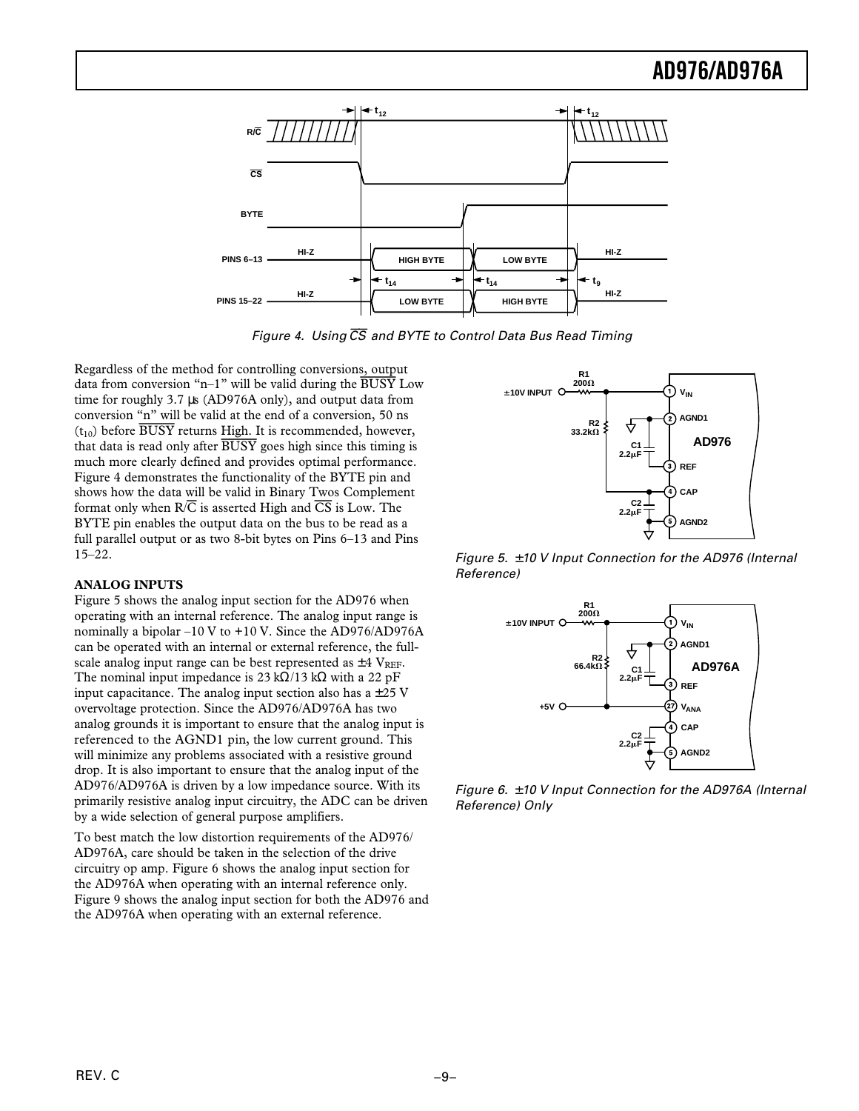

Figure 4. Using  $\overline{CS}$  and BYTE to Control Data Bus Read Timing

Regardless of the method for controlling conversions, output data from conversion "n–1" will be valid during the *BUSY* Low time for roughly 3.7 µs (AD976A only), and output data from conversion "n" will be valid at the end of a conversion, 50 ns  $(t_{10})$  before  $\overline{BUSY}$  returns High. It is recommended, however, that data is read only after *BUSY* goes high since this timing is much more clearly defined and provides optimal performance. Figure 4 demonstrates the functionality of the BYTE pin and shows how the data will be valid in Binary Twos Complement format only when R/*C* is asserted High and *CS* is Low. The BYTE pin enables the output data on the bus to be read as a full parallel output or as two 8-bit bytes on Pins 6–13 and Pins 15–22.

### **ANALOG INPUTS**

Figure 5 shows the analog input section for the AD976 when operating with an internal reference. The analog input range is nominally a bipolar –10 V to +10 V. Since the AD976/AD976A can be operated with an internal or external reference, the fullscale analog input range can be best represented as  $\pm 4$  V<sub>REF</sub>. The nominal input impedance is 23 k $\Omega/13$  k $\Omega$  with a 22 pF input capacitance. The analog input section also has a  $\pm 25$  V overvoltage protection. Since the AD976/AD976A has two analog grounds it is important to ensure that the analog input is referenced to the AGND1 pin, the low current ground. This will minimize any problems associated with a resistive ground drop. It is also important to ensure that the analog input of the AD976/AD976A is driven by a low impedance source. With its primarily resistive analog input circuitry, the ADC can be driven by a wide selection of general purpose amplifiers.

To best match the low distortion requirements of the AD976/ AD976A, care should be taken in the selection of the drive circuitry op amp. Figure 6 shows the analog input section for the AD976A when operating with an internal reference only. Figure 9 shows the analog input section for both the AD976 and the AD976A when operating with an external reference.



Figure 5.  $\pm$  10 V Input Connection for the AD976 (Internal Reference)



Figure 6.  $\pm$  10 V Input Connection for the AD976A (Internal Reference) Only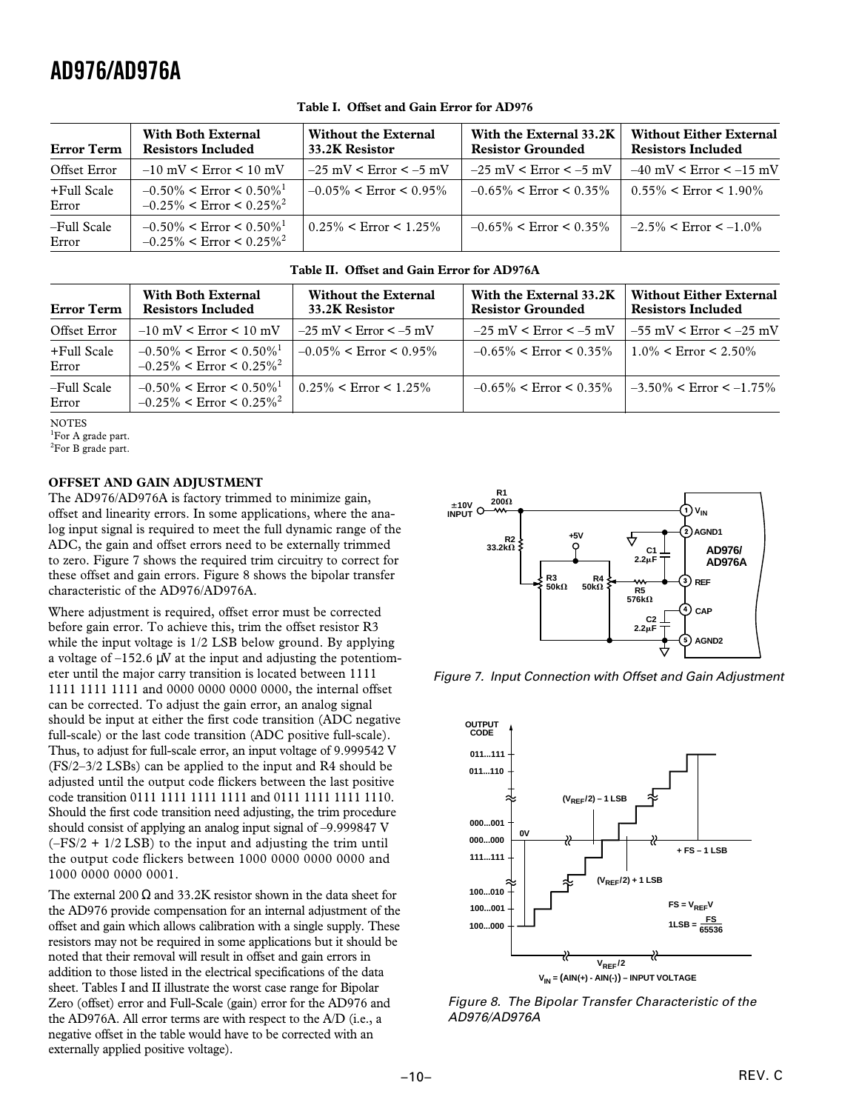| <b>Error Term</b>    | <b>With Both External</b><br><b>Resistors Included</b>                                  | <b>Without the External</b><br>33.2K Resistor | With the External 33.2K<br><b>Resistor Grounded</b> | <b>Without Either External</b><br><b>Resistors Included</b> |
|----------------------|-----------------------------------------------------------------------------------------|-----------------------------------------------|-----------------------------------------------------|-------------------------------------------------------------|
| Offset Error         | $-10$ mV < Error < 10 mV                                                                | $-25$ mV < Error < $-5$ mV                    | $-25$ mV < Error < $-5$ mV                          | $-40$ mV < Error < $-15$ mV                                 |
| +Full Scale<br>Error | $-0.50\% \le$ Error $\le 0.50\%$ <sup>1</sup><br>$-0.25\%$ < Error < 0.25% <sup>2</sup> | $-0.05\% <$ Error $< 0.95\%$                  | $-0.65\% <$ Error $\lt 0.35\%$                      | $0.55\% <$ Error $< 1.90\%$                                 |
| -Full Scale<br>Error | $-0.50\%$ < Error < 0.50% <sup>1</sup><br>$-0.25\%$ < Error < 0.25% <sup>2</sup>        | $0.25\% <$ Error $< 1.25\%$                   | $-0.65\% <$ Error $\lt 0.35\%$                      | $-2.5\% <$ Error $\lt$ $-1.0\%$                             |

### **Table I. Offset and Gain Error for AD976**

### **Table II. Offset and Gain Error for AD976A**

| Error Term           | <b>With Both External</b><br><b>Resistors Included</b>                              | <b>Without the External</b><br>33.2K Resistor | With the External 33.2K<br><b>Resistor Grounded</b> | <b>Without Either External</b><br><b>Resistors Included</b> |
|----------------------|-------------------------------------------------------------------------------------|-----------------------------------------------|-----------------------------------------------------|-------------------------------------------------------------|
| Offset Error         | $-10$ mV < Error < 10 mV                                                            | $-25$ mV < Error < $-5$ mV                    | $-25$ mV < Error < $-5$ mV                          | $1 - 55$ mV < Error < $-25$ mV                              |
| +Full Scale<br>Error | $-0.50\%$ < Error < 0.50% <sup>1</sup><br>$-0.25\%$ < Error < 0.25% <sup>2</sup>    | $-0.05\% <$ Error $\leq 0.95\%$               | $-0.65\% <$ Error $\leq 0.35\%$                     | $1.0\%$ < Error < 2.50%                                     |
| -Full Scale<br>Error | $-0.50\%$ < Error < 0.50% <sup>1</sup><br>$-0.25\%$ < Error < $0.25\%$ <sup>2</sup> | $0.25\% <$ Error $\leq 1.25\%$                | $-0.65\% <$ Error $\leq 0.35\%$                     | $-3.50\%$ < Error < $-1.75\%$                               |

**NOTES** 

<sup>1</sup>For A grade part.

<sup>2</sup>For B grade part.

### **OFFSET AND GAIN ADJUSTMENT**

The AD976/AD976A is factory trimmed to minimize gain, offset and linearity errors. In some applications, where the analog input signal is required to meet the full dynamic range of the ADC, the gain and offset errors need to be externally trimmed to zero. Figure 7 shows the required trim circuitry to correct for these offset and gain errors. Figure 8 shows the bipolar transfer characteristic of the AD976/AD976A.

Where adjustment is required, offset error must be corrected before gain error. To achieve this, trim the offset resistor R3 while the input voltage is  $1/2$  LSB below ground. By applying a voltage of  $-152.6 \mu V$  at the input and adjusting the potentiometer until the major carry transition is located between 1111 1111 1111 1111 and 0000 0000 0000 0000, the internal offset can be corrected. To adjust the gain error, an analog signal should be input at either the first code transition (ADC negative full-scale) or the last code transition (ADC positive full-scale). Thus, to adjust for full-scale error, an input voltage of 9.999542 V (FS/2–3/2 LSBs) can be applied to the input and R4 should be adjusted until the output code flickers between the last positive code transition 0111 1111 1111 1111 and 0111 1111 1111 1110. Should the first code transition need adjusting, the trim procedure should consist of applying an analog input signal of –9.999847 V  $(-FS/2 + 1/2$  LSB) to the input and adjusting the trim until the output code flickers between 1000 0000 0000 0000 and 1000 0000 0000 0001.

The external 200  $\Omega$  and 33.2K resistor shown in the data sheet for the AD976 provide compensation for an internal adjustment of the offset and gain which allows calibration with a single supply. These resistors may not be required in some applications but it should be noted that their removal will result in offset and gain errors in addition to those listed in the electrical specifications of the data sheet. Tables I and II illustrate the worst case range for Bipolar Zero (offset) error and Full-Scale (gain) error for the AD976 and the AD976A. All error terms are with respect to the A/D (i.e., a negative offset in the table would have to be corrected with an externally applied positive voltage).



Figure 7. Input Connection with Offset and Gain Adjustment



Figure 8. The Bipolar Transfer Characteristic of the AD976/AD976A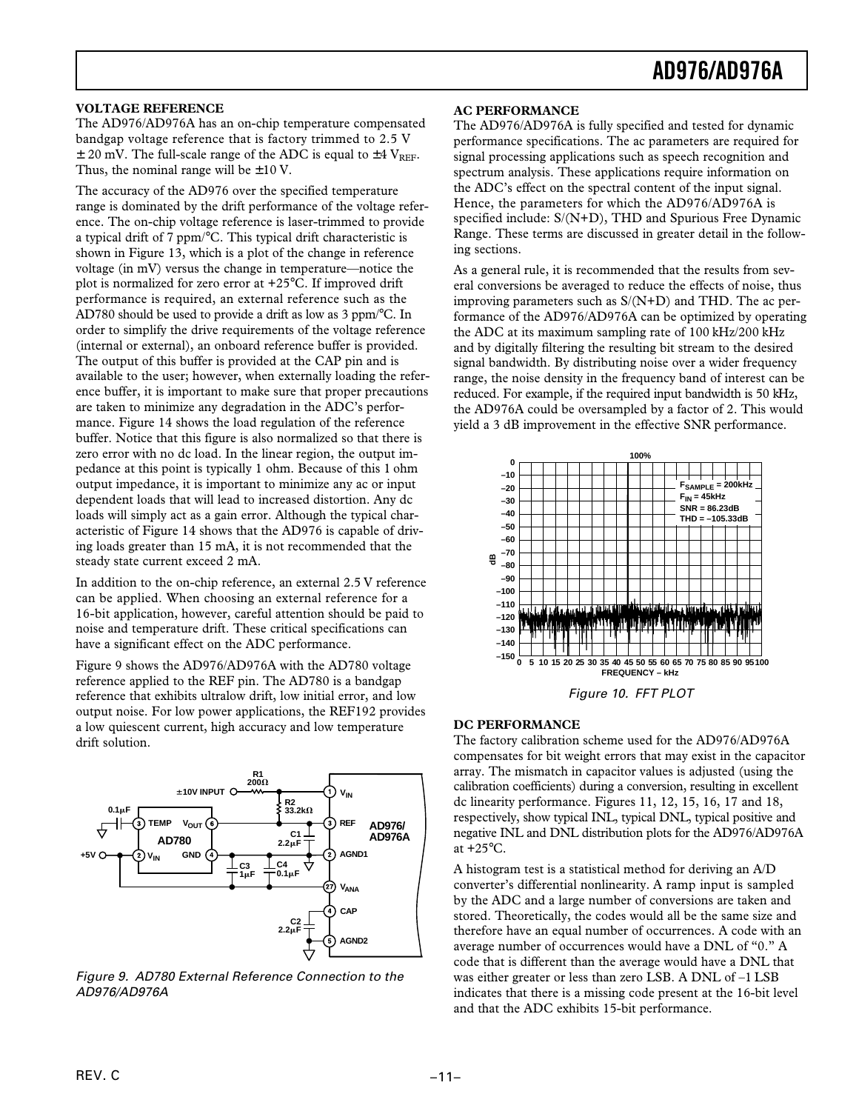### **VOLTAGE REFERENCE**

The AD976/AD976A has an on-chip temperature compensated bandgap voltage reference that is factory trimmed to 2.5 V  $\pm$  20 mV. The full-scale range of the ADC is equal to  $\pm$ 4 V<sub>REF</sub>. Thus, the nominal range will be  $\pm 10$  V.

The accuracy of the AD976 over the specified temperature range is dominated by the drift performance of the voltage reference. The on-chip voltage reference is laser-trimmed to provide a typical drift of 7 ppm/°C. This typical drift characteristic is shown in Figure 13, which is a plot of the change in reference voltage (in mV) versus the change in temperature—notice the plot is normalized for zero error at +25°C. If improved drift performance is required, an external reference such as the AD780 should be used to provide a drift as low as 3 ppm/°C. In order to simplify the drive requirements of the voltage reference (internal or external), an onboard reference buffer is provided. The output of this buffer is provided at the CAP pin and is available to the user; however, when externally loading the reference buffer, it is important to make sure that proper precautions are taken to minimize any degradation in the ADC's performance. Figure 14 shows the load regulation of the reference buffer. Notice that this figure is also normalized so that there is zero error with no dc load. In the linear region, the output impedance at this point is typically 1 ohm. Because of this 1 ohm output impedance, it is important to minimize any ac or input dependent loads that will lead to increased distortion. Any dc loads will simply act as a gain error. Although the typical characteristic of Figure 14 shows that the AD976 is capable of driving loads greater than 15 mA, it is not recommended that the steady state current exceed 2 mA.

In addition to the on-chip reference, an external 2.5 V reference can be applied. When choosing an external reference for a 16-bit application, however, careful attention should be paid to noise and temperature drift. These critical specifications can have a significant effect on the ADC performance.

Figure 9 shows the AD976/AD976A with the AD780 voltage reference applied to the REF pin. The AD780 is a bandgap reference that exhibits ultralow drift, low initial error, and low output noise. For low power applications, the REF192 provides a low quiescent current, high accuracy and low temperature drift solution.



Figure 9. AD780 External Reference Connection to the AD976/AD976A

### **AC PERFORMANCE**

The AD976/AD976A is fully specified and tested for dynamic performance specifications. The ac parameters are required for signal processing applications such as speech recognition and spectrum analysis. These applications require information on the ADC's effect on the spectral content of the input signal. Hence, the parameters for which the AD976/AD976A is specified include: S/(N+D), THD and Spurious Free Dynamic Range. These terms are discussed in greater detail in the following sections.

As a general rule, it is recommended that the results from several conversions be averaged to reduce the effects of noise, thus improving parameters such as S/(N+D) and THD. The ac performance of the AD976/AD976A can be optimized by operating the ADC at its maximum sampling rate of 100 kHz/200 kHz and by digitally filtering the resulting bit stream to the desired signal bandwidth. By distributing noise over a wider frequency range, the noise density in the frequency band of interest can be reduced. For example, if the required input bandwidth is 50 kHz, the AD976A could be oversampled by a factor of 2. This would yield a 3 dB improvement in the effective SNR performance.



Figure 10. FFT PLOT

### **DC PERFORMANCE**

The factory calibration scheme used for the AD976/AD976A compensates for bit weight errors that may exist in the capacitor array. The mismatch in capacitor values is adjusted (using the calibration coefficients) during a conversion, resulting in excellent dc linearity performance. Figures 11, 12, 15, 16, 17 and 18, respectively, show typical INL, typical DNL, typical positive and negative INL and DNL distribution plots for the AD976/AD976A at  $+25^{\circ}$ C.

A histogram test is a statistical method for deriving an A/D converter's differential nonlinearity. A ramp input is sampled by the ADC and a large number of conversions are taken and stored. Theoretically, the codes would all be the same size and therefore have an equal number of occurrences. A code with an average number of occurrences would have a DNL of "0." A code that is different than the average would have a DNL that was either greater or less than zero LSB. A DNL of –1 LSB indicates that there is a missing code present at the 16-bit level and that the ADC exhibits 15-bit performance.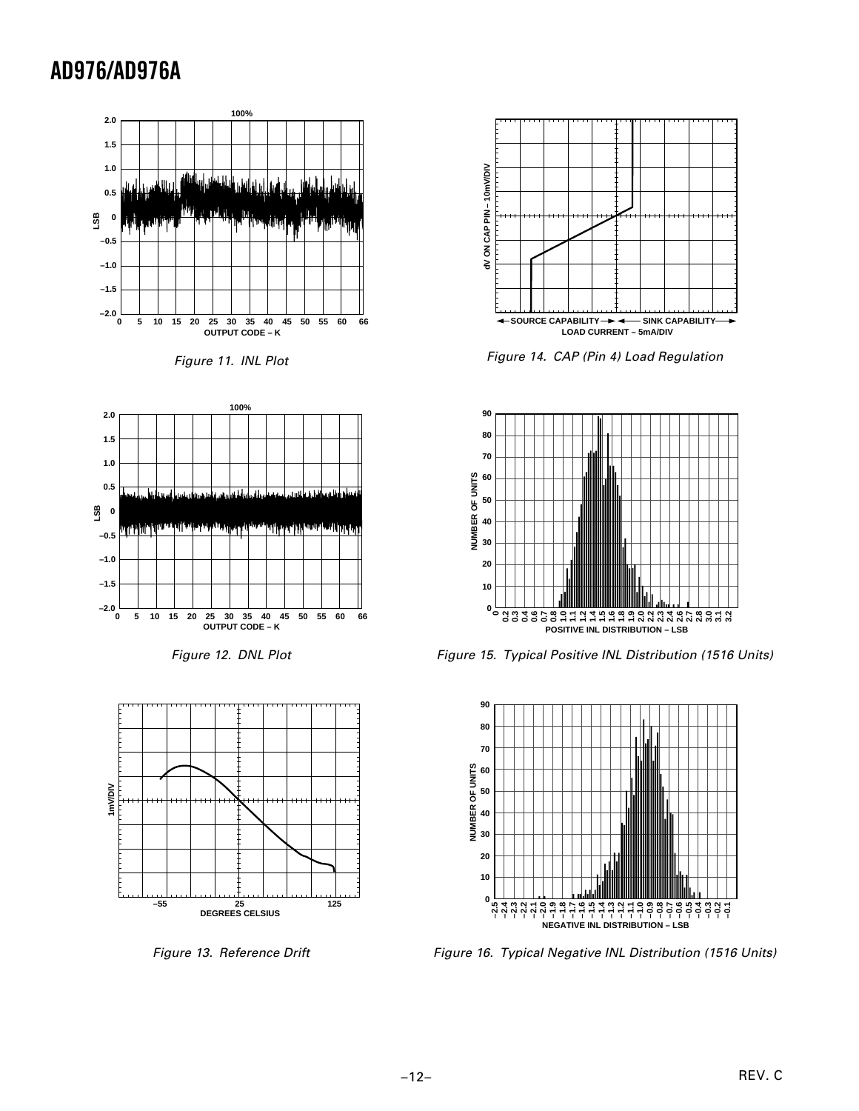









Figure 13. Reference Drift



Figure 14. CAP (Pin 4) Load Regulation



Figure 15. Typical Positive INL Distribution (1516 Units)



Figure 16. Typical Negative INL Distribution (1516 Units)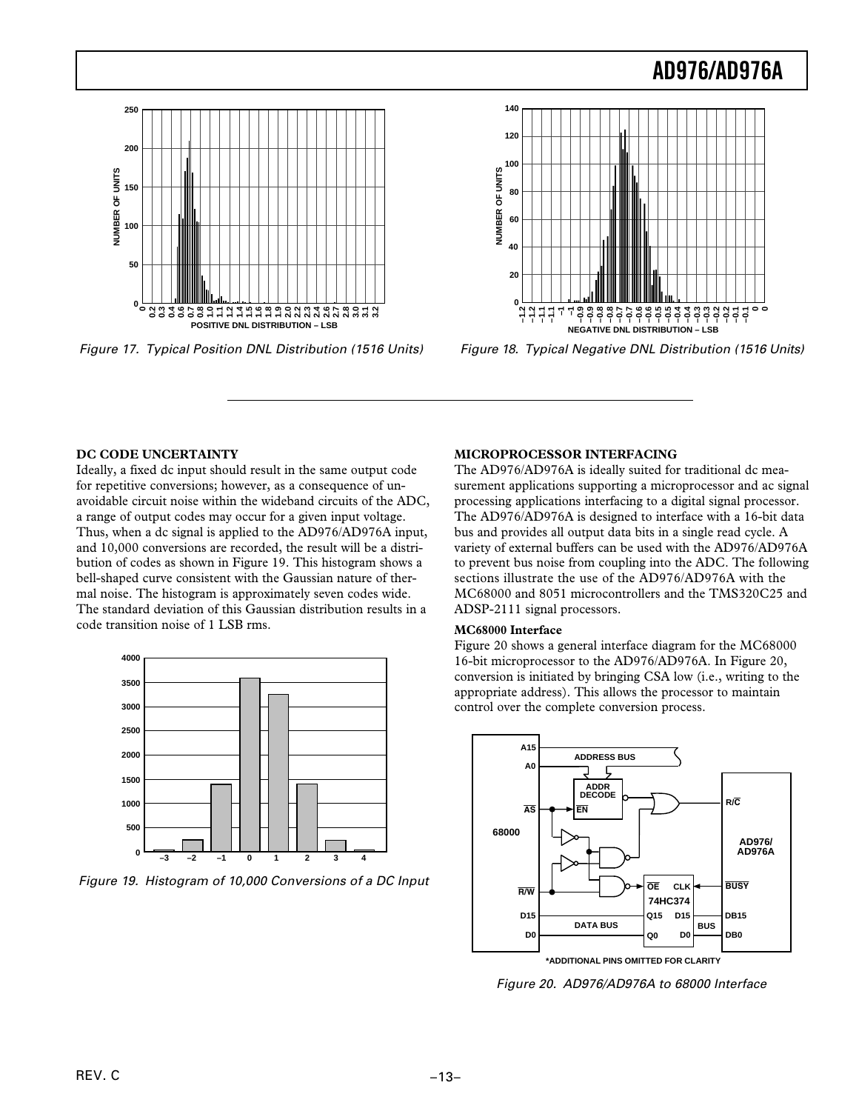

Figure 17. Typical Position DNL Distribution (1516 Units)

![](_page_12_Figure_3.jpeg)

Figure 18. Typical Negative DNL Distribution (1516 Units)

### **DC CODE UNCERTAINTY**

Ideally, a fixed dc input should result in the same output code for repetitive conversions; however, as a consequence of unavoidable circuit noise within the wideband circuits of the ADC, a range of output codes may occur for a given input voltage. Thus, when a dc signal is applied to the AD976/AD976A input, and 10,000 conversions are recorded, the result will be a distribution of codes as shown in Figure 19. This histogram shows a bell-shaped curve consistent with the Gaussian nature of thermal noise. The histogram is approximately seven codes wide. The standard deviation of this Gaussian distribution results in a code transition noise of 1 LSB rms.

![](_page_12_Figure_7.jpeg)

Figure 19. Histogram of 10,000 Conversions of a DC Input

### **MICROPROCESSOR INTERFACING**

The AD976/AD976A is ideally suited for traditional dc measurement applications supporting a microprocessor and ac signal processing applications interfacing to a digital signal processor. The AD976/AD976A is designed to interface with a 16-bit data bus and provides all output data bits in a single read cycle. A variety of external buffers can be used with the AD976/AD976A to prevent bus noise from coupling into the ADC. The following sections illustrate the use of the AD976/AD976A with the MC68000 and 8051 microcontrollers and the TMS320C25 and ADSP-2111 signal processors.

#### **MC68000 Interface**

Figure 20 shows a general interface diagram for the MC68000 16-bit microprocessor to the AD976/AD976A. In Figure 20, conversion is initiated by bringing CSA low (i.e., writing to the appropriate address). This allows the processor to maintain control over the complete conversion process.

![](_page_12_Figure_13.jpeg)

Figure 20. AD976/AD976A to 68000 Interface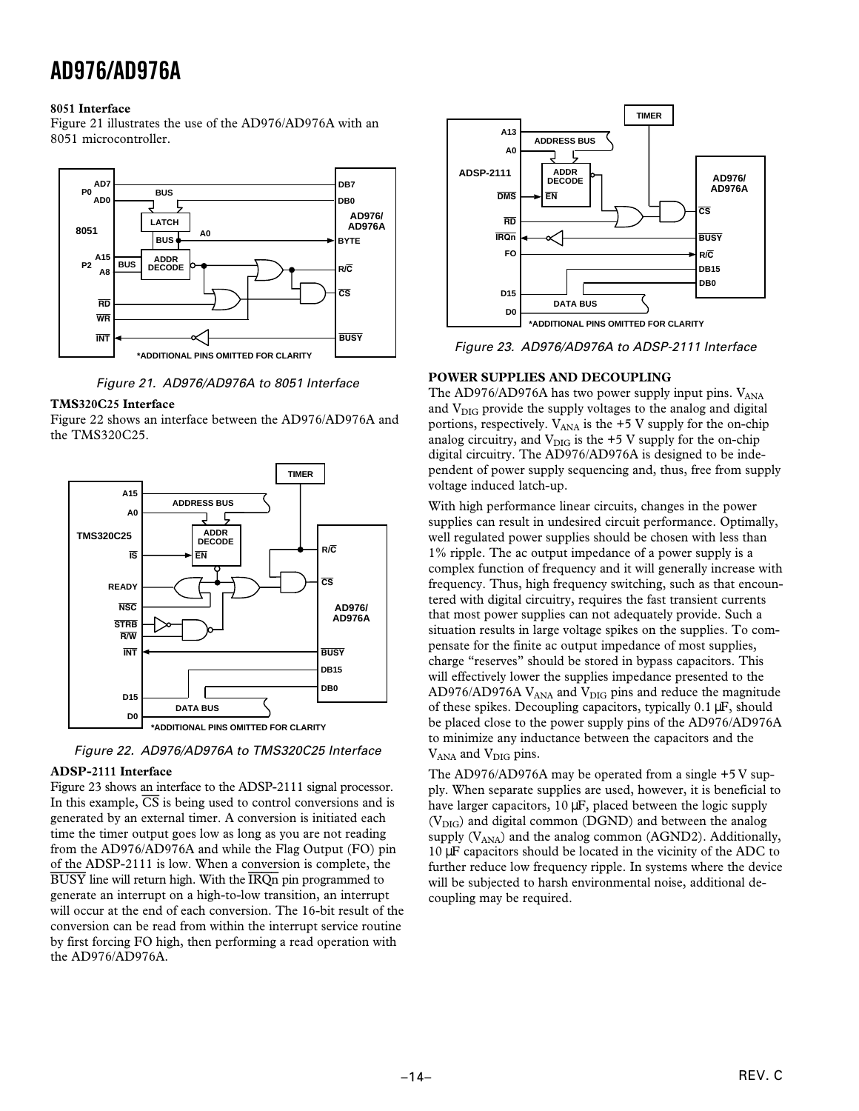### **8051 Interface**

Figure 21 illustrates the use of the AD976/AD976A with an 8051 microcontroller.

![](_page_13_Figure_3.jpeg)

Figure 21. AD976/AD976A to 8051 Interface

### **TMS320C25 Interface**

Figure 22 shows an interface between the AD976/AD976A and the TMS320C25.

![](_page_13_Figure_7.jpeg)

Figure 22. AD976/AD976A to TMS320C25 Interface

### **ADSP-2111 Interface**

Figure 23 shows an interface to the ADSP-2111 signal processor. In this example, *CS* is being used to control conversions and is generated by an external timer. A conversion is initiated each time the timer output goes low as long as you are not reading from the AD976/AD976A and while the Flag Output (FO) pin of the ADSP-2111 is low. When a conversion is complete, the *BUSY* line will return high. With the *IRQn* pin programmed to generate an interrupt on a high-to-low transition, an interrupt will occur at the end of each conversion. The 16-bit result of the conversion can be read from within the interrupt service routine by first forcing FO high, then performing a read operation with the AD976/AD976A.

![](_page_13_Figure_11.jpeg)

Figure 23. AD976/AD976A to ADSP-2111 Interface

### **POWER SUPPLIES AND DECOUPLING**

The AD976/AD976A has two power supply input pins.  $V_{ANA}$ and V<sub>DIG</sub> provide the supply voltages to the analog and digital portions, respectively.  $V_{ANA}$  is the +5 V supply for the on-chip analog circuitry, and  $V_{\text{DIG}}$  is the +5 V supply for the on-chip digital circuitry. The AD976/AD976A is designed to be independent of power supply sequencing and, thus, free from supply voltage induced latch-up.

With high performance linear circuits, changes in the power supplies can result in undesired circuit performance. Optimally, well regulated power supplies should be chosen with less than 1% ripple. The ac output impedance of a power supply is a complex function of frequency and it will generally increase with frequency. Thus, high frequency switching, such as that encountered with digital circuitry, requires the fast transient currents that most power supplies can not adequately provide. Such a situation results in large voltage spikes on the supplies. To compensate for the finite ac output impedance of most supplies, charge "reserves" should be stored in bypass capacitors. This will effectively lower the supplies impedance presented to the  $AD976/AD976A V<sub>ANA</sub>$  and  $V<sub>DIG</sub>$  pins and reduce the magnitude of these spikes. Decoupling capacitors, typically 0.1 µF, should be placed close to the power supply pins of the AD976/AD976A to minimize any inductance between the capacitors and the V<sub>ANA</sub> and V<sub>DIG</sub> pins.

The AD976/AD976A may be operated from a single +5 V supply. When separate supplies are used, however, it is beneficial to have larger capacitors,  $10 \mu$ F, placed between the logic supply  $(V_{\text{DIG}})$  and digital common (DGND) and between the analog supply  $(V_{ANA})$  and the analog common (AGND2). Additionally, 10 µF capacitors should be located in the vicinity of the ADC to further reduce low frequency ripple. In systems where the device will be subjected to harsh environmental noise, additional decoupling may be required.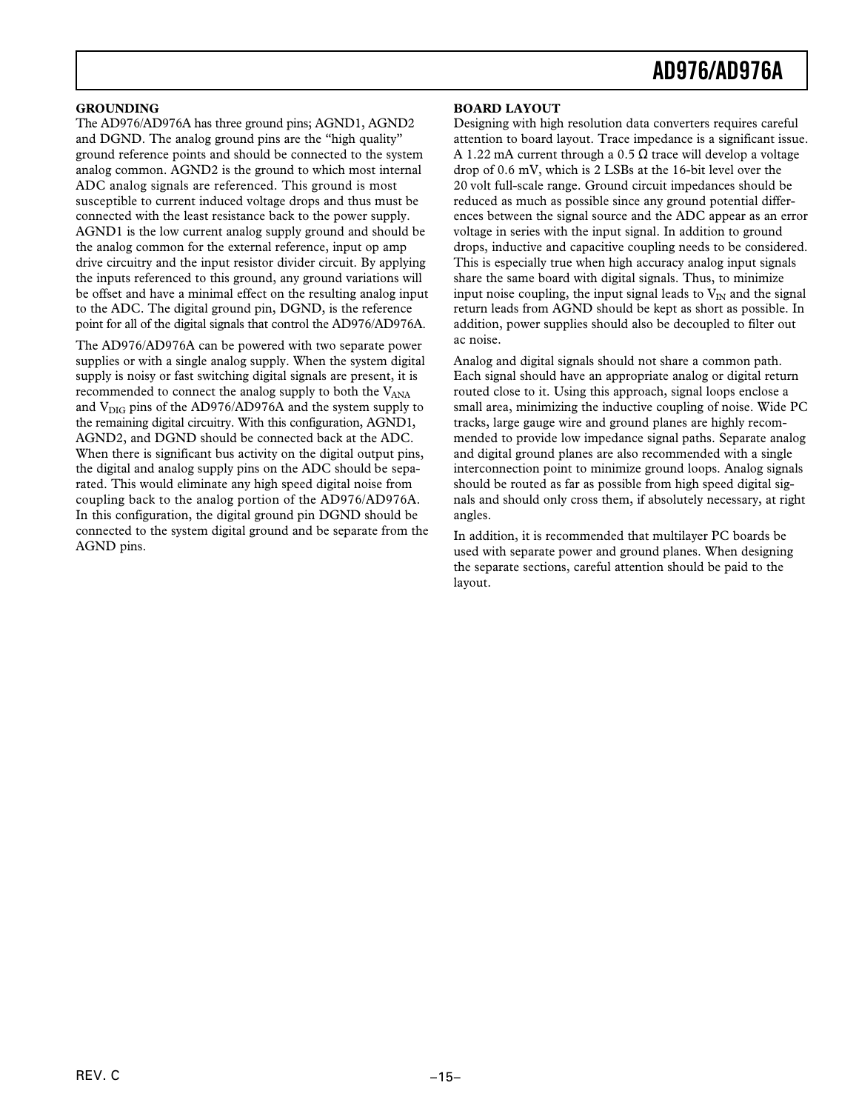### **GROUNDING**

The AD976/AD976A has three ground pins; AGND1, AGND2 and DGND. The analog ground pins are the "high quality" ground reference points and should be connected to the system analog common. AGND2 is the ground to which most internal ADC analog signals are referenced. This ground is most susceptible to current induced voltage drops and thus must be connected with the least resistance back to the power supply. AGND1 is the low current analog supply ground and should be the analog common for the external reference, input op amp drive circuitry and the input resistor divider circuit. By applying the inputs referenced to this ground, any ground variations will be offset and have a minimal effect on the resulting analog input to the ADC. The digital ground pin, DGND, is the reference point for all of the digital signals that control the AD976/AD976A.

The AD976/AD976A can be powered with two separate power supplies or with a single analog supply. When the system digital supply is noisy or fast switching digital signals are present, it is recommended to connect the analog supply to both the  $V<sub>ANA</sub>$ and  $V_{\text{DIG}}$  pins of the AD976/AD976A and the system supply to the remaining digital circuitry. With this configuration, AGND1, AGND2, and DGND should be connected back at the ADC. When there is significant bus activity on the digital output pins, the digital and analog supply pins on the ADC should be separated. This would eliminate any high speed digital noise from coupling back to the analog portion of the AD976/AD976A. In this configuration, the digital ground pin DGND should be connected to the system digital ground and be separate from the AGND pins.

### **BOARD LAYOUT**

Designing with high resolution data converters requires careful attention to board layout. Trace impedance is a significant issue. A 1.22 mA current through a 0.5  $\Omega$  trace will develop a voltage drop of 0.6 mV, which is 2 LSBs at the 16-bit level over the 20 volt full-scale range. Ground circuit impedances should be reduced as much as possible since any ground potential differences between the signal source and the ADC appear as an error voltage in series with the input signal. In addition to ground drops, inductive and capacitive coupling needs to be considered. This is especially true when high accuracy analog input signals share the same board with digital signals. Thus, to minimize input noise coupling, the input signal leads to  $V_{IN}$  and the signal return leads from AGND should be kept as short as possible. In addition, power supplies should also be decoupled to filter out ac noise.

Analog and digital signals should not share a common path. Each signal should have an appropriate analog or digital return routed close to it. Using this approach, signal loops enclose a small area, minimizing the inductive coupling of noise. Wide PC tracks, large gauge wire and ground planes are highly recommended to provide low impedance signal paths. Separate analog and digital ground planes are also recommended with a single interconnection point to minimize ground loops. Analog signals should be routed as far as possible from high speed digital signals and should only cross them, if absolutely necessary, at right angles.

In addition, it is recommended that multilayer PC boards be used with separate power and ground planes. When designing the separate sections, careful attention should be paid to the layout.